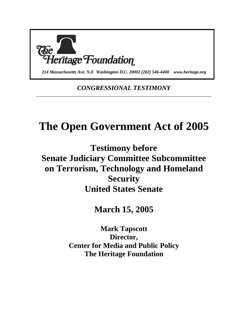

*214 Massachusetts Ave. N.E Washington D.C. 20002 (202) 546-4400 www.heritage.org*

*CONGRESSIONAL TESTIMONY* \_\_\_\_\_\_\_\_\_\_\_\_\_\_\_\_\_\_\_\_\_\_\_\_\_\_\_\_\_\_\_\_\_\_\_\_\_\_\_\_\_\_\_\_\_\_\_\_\_\_\_\_\_\_\_\_\_\_\_\_\_\_\_\_\_\_\_\_\_\_\_\_

## **The Open Government Act of 2005**

**Testimony before Senate Judiciary Committee Subcommittee on Terrorism, Technology and Homeland Security United States Senate** 

**March 15, 2005** 

**Mark Tapscott Director, Center for Media and Public Policy The Heritage Foundation**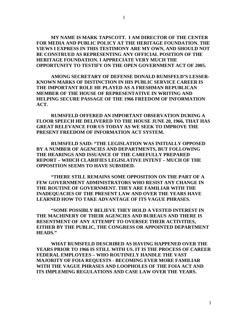**MY NAME IS MARK TAPSCOTT. I AM DIRECTOR OF THE CENTER FOR MEDIA AND PUBLIC POLICY AT THE HERITAGE FOUNDATION. THE VIEWS I EXPRESS IN THIS TESTIMONY ARE MY OWN, AND SHOULD NOT BE CONSTRUED AS REPRESENTING ANY OFFICIAL POSITION OF THE HERITAGE FOUNDATION. I APPRECIATE VERY MUCH THE OPPORTUNITY TO TESTIFY ON THE OPEN GOVERNMENT ACT OF 2005.** 

 **AMONG SECRETARY OF DEFENSE DONALD RUMSFELD'S LESSER-KNOWN MARKS OF DISTINCTION IN HIS PUBLIC SERVICE CAREER IS THE IMPORTANT ROLE HE PLAYED AS A FRESHMAN REPUBLICAN MEMBER OF THE HOUSE OF REPRESENTATIVE IN WRITING AND HELPING SECURE PASSAGE OF THE 1966 FREEDOM OF INFORMATION ACT.** 

 **RUMSFELD OFFERED AN IMPORTANT OBSERVATION DURING A FLOOR SPEECH HE DELIVERED TO THE HOUSE JUNE 20, 1966, THAT HAS GREAT RELEVANCE FOR US TODAY AS WE SEEK TO IMPROVE THE PRESENT FREEDOM OF INFORMATION ACT SYSTEM.** 

**RUMSFELD SAID: "THE LEGISLATION WAS INITIALLY OPPOSED BY A NUMBER OF AGENCIES AND DEPARTMENTS, BUT FOLLOWING THE HEARINGS AND ISSUANCE OF THE CAREFULLY PREPARED REPORT – WHICH CLARIFIES LEGISLATIVE INTENT – MUCH OF THE OPPOSITION SEEMS TO HAVE SUBSIDED.** 

**"THERE STILL REMAINS SOME OPPOSITION ON THE PART OF A FEW GOVERNMENT ADMINISTRATORS WHO RESIST ANY CHANGE IN THE ROUTINE OF GOVERNMENT. THEY ARE FAMILIAR WITH THE INADEQUACIES OF THE PRESENT LAW AND OVER THE YEARS HAVE LEARNED HOW TO TAKE ADVANTAGE OF ITS VAGUE PHRASES.** 

**"SOME POSSIBLY BELIEVE THEY HOLD A VESTED INTEREST IN THE MACHINERY OF THEIR AGENCIES AND BUREAUS AND THERE IS RESENTMENT OF ANY ATTEMPT TO OVERSEE THEIR ACTIVITIES, EITHER BY THE PUBLIC, THE CONGRESS OR APPOINTED DEPARTMENT HEADS."** 

**WHAT RUMSFELD DESCRIBED AS HAVING HAPPENED OVER THE YEARS PRIOR TO 1966 IS STILL WITH US. IT IS THE PROCESS OF CAREER FEDERAL EMPLOYEES – WHO ROUTINELY HANDLE THE VAST MAJORITY OF FOIA REQUESTS - BECOMING EVER MORE FAMILIAR WITH THE VAGUE PHRASES AND LOOPHOLES OF THE FOIA ACT AND ITS IMPLEMING REGULATIONS AND CASE LAW OVER THE YEARS.**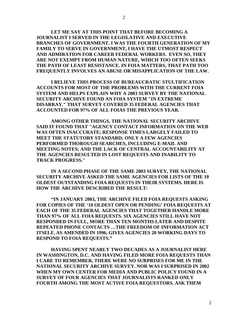**LET ME SAY AT THIS POINT THAT BEFORE BECOMING A JOURNALIST I SERVED IN THE LEGISLATIVE AND EXECUTIVE BRANCHES OF GOVERNMENT. I WAS THE FOURTH GENERATION OF MY FAMILY TO SERVE IN GOVERNMENT, I HAVE THE UTMOST RESPECT AND ADMIRATION FOR CAREER FEDERAL WORKERS. EVEN SO, THEY ARE NOT EXEMPT FROM HUMAN NATURE, WHICH TOO OFTEN SEEKS THE PATH OF LEAST RESISTANCE. IN FOIA MATTERS, THAT PATH TOO FREQUENTLY INVOLVES AN ABUSE OR MISAPPLICATION OF THE LAW.** 

**I BELIEVE THIS PROCESS OF BUREAUCRATIC STULTIFICATION ACCOUNTS FOR MOST OF THE PROBLEMS WITH THE CURRENT FOIA SYSTEM AND HELPS EXPLAIN WHY A 2003 SURVEY BY THE NATIONAL SECURITY ARCHIVE FOUND AN FOIA SYSTEM "IN EXTREME DISARRAY." THAT SURVEY COVERED 35 FEDERAL AGENCIES THAT ACCOUNTED FOR 97% OF ALL FOIAS THE PREVIOUS YEAR.** 

**AMONG OTHER THINGS, THE NATIONAL SECURITY ARCHIVE SAID IT FOUND THAT "AGENCY CONTACT INFORMATION ON THE WEB WAS OFTEN INACCURATE; RESPONSE TIMES LARGELY FAILED TO MEET THE STATUTORY STANDARD; ONLY A FEW AGENCIES PERFORMED THOROUGH SEARCHES, INCLUDING E-MAIL AND MEETING NOTES; AND THE LACK OF CENTRAL ACCOUNTABILITY AT THE AGENCIES RESULTED IN LOST REQUESTS AND INABILITY TO TRACK PROGRESS."** 

**IN A SECOND PHASE OF THE SAME 2003 SURVEY, THE NATIONAL SECURITY ARCHIVE ASKED THE SAME AGENCIES FOR LISTS OF THE 10 OLDEST OUTSTANDING FOIA REQUESTS IN THEIR SYSTEMS. HERE IS HOW THE ARCHIVE DESCRIBED THE RESULT:** 

**"IN JANUARY 2003, THE ARCHIVE FILED FOIA REQUESTS ASKING FOR COPIES OF THE '10 OLDEST OPEN OR PENDING' FOIA REQUESTS AT EACH OF THE 35 FEDERAL AGENCIES THAT TOGETHER HANDLE MORE THAN 97% OF ALL FOIA REQUESTS. SIX AGENCIES STILL HAVE NOT RESPONDED IN FULL, MORE THAN TEN MONTHS LATER AND DESPITE REPEATED PHONE CONTACTS …THE FREEDOM OF INFORMATION ACT ITSELF, AS AMENDED IN 1996, GIVES AGENCIES 20 WORKING DAYS TO RESPOND TO FOIA REQUESTS."** 

**HAVING SPENT NEARLY TWO DECADES AS A JOURNALIST HERE IN WASHINGTON, D.C. AND HAVING FILED MORE FOIA REQUESTS THAN I CARE TO REMEMBER, THERE WERE NO SURPRISES FOR ME IN THE NATIONAL SECURITY ARCHIVE SURVEY. NOR WAS I SURPRISED IN 2002 WHEN MY OWN CENTER FOR MEDIA AND PUBLIC POLICY FOUND IN A SURVEY OF FOUR AGENCIES THAT JOURNALISTS RANKED ONLY FOURTH AMONG THE MOST ACTIVE FOIA REQUESTORS. ASK THEM**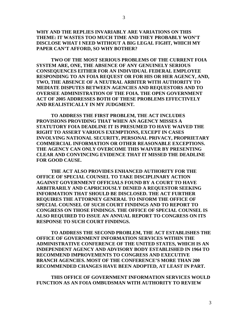**WHY AND THE REPLIES INVARIABLY ARE VARIATIONS ON THIS THEME: IT WASTES TOO MUCH TIME AND THEY PROBABLY WON'T DISCLOSE WHAT I NEED WITHOUT A BIG LEGAL FIGHT, WHICH MY PAPER CAN'T AFFORD, SO WHY BOTHER?** 

**TWO OF THE MOST SERIOUS PROBLEMS OF THE CURRENT FOIA SYSTEM ARE, ONE, THE ABSENCE OF ANY GENUINELY SERIOUS CONSEQUENCES EITHER FOR AN INDIVIDUAL FEDERAL EMPLOYEE RESPONDING TO AN FOIA REQUEST OR FOR HIS OR HER AGENCY, AND, TWO, THE ABSENCE OF A NEUTRAL ARBITER WITH AUTHORITY TO MEDIATE DISPUTES BETWEEN AGENCIES AND REQUESTORS AND TO OVERSEE ADMINISTRATION OF THE FOIA. THE OPEN GOVERNMENT ACT OF 2005 ADDRESSES BOTH OF THESE PROBLEMS EFFECTIVELY AND REALISTICALLY IN MY JUDGMENT.** 

**TO ADDRESS THE FIRST PROBLEM, THE ACT INCLUDES PROVISIONS PROVIDING THAT WHEN AN AGENCY MISSES A STATUTORY FOIA DEADLINE IT IS PRESUMED TO HAVE WAIVED THE RIGHT TO ASSERT VARIOUS EXEMPTIONS, EXCEPT IN CASES INVOLVING NATIONAL SECURITY, PERSONAL PRIVACY, PROPRIETARY COMMERCIAL INFORMATION OR OTHER REASONABLE EXCEPTIONS. THE AGENCY CAN ONLY OVERCOME THIS WAIVER BY PRESENTING CLEAR AND CONVINCING EVIDENCE THAT IT MISSED THE DEADLINE FOR GOOD CAUSE.** 

**THE ACT ALSO PROVIDES ENHANCED AUTHORITY FOR THE OFFICE OF SPECIAL COUNSEL TO TAKE DISCIPLINARY ACTION AGAINST GOVERNMENT OFFICIALS FOUND BY A COURT TO HAVE ARBITRARILY AND CAPRICIOUSLY DENIED A REQUESTOR SEEKING INFORMATION THAT SHOULD BE DISCLOSED. THE ACT FURTHER REQUIRES THE ATTORNEY GENERAL TO INFORM THE OFFICE OF SPECIAL COUNSEL OF SUCH COURT FINDINGS AND TO REPORT TO CONGRESS ON THOSE FINDINGS. THE OFFICE OF SPECIAL COUNSEL IS ALSO REQUIRED TO ISSUE AN ANNUAL REPORT TO CONGRESS ON ITS RESPONSE TO SUCH COURT FINDINGS.** 

**TO ADDRESS THE SECOND PROBLEM, THE ACT ESTABLISHES THE OFFICE OF GOVERNMENT INFORMATION SERVICES WITHIN THE ADMINISTRATIVE CONFERENCE OF THE UNITED STATES, WHICH IS AN INDEPENDENT AGENCY AND ADVISORY BODY ESTABLISHED IN 1964 TO RECOMMEND IMPROVEMENTS TO CONGRESS AND EXECUTIVE BRANCH AGENCIES. MOST OF THE CONFERENCE'S MORE THAN 200 RECOMMENDED CHANGES HAVE BEEN ADOPTED, AT LEAST IN PART.** 

**THIS OFFICE OF GOVERNMENT INFORMATION SERVICES WOULD FUNCTION AS AN FOIA OMBUDSMAN WITH AUTHORITY TO REVIEW**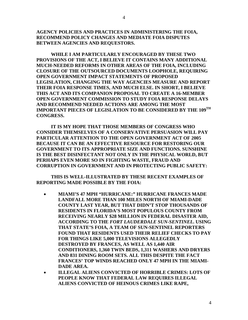**AGENCY POLICIES AND PRACTICES IN ADMINISTERING THE FOIA, RECOMMEND POLICY CHANGES AND MEDIATE FOIA DISPUTES BETWEEN AGENCIES AND REQUESTORS.** 

**WHILE I AM PARTICULARLY ENCOURAGED BY THESE TWO PROVISIONS OF THE ACT, I BELIEVE IT CONTAINS MANY ADDITIONAL MUCH-NEEDED REFORMS IN OTHER AREAS OF THE FOIA, INCLUDING CLOSURE OF THE OUTSOURCED DOCUMENTS LOOPHOLE, REQUIRING OPEN GOVERNMENT IMPACT STATEMENTS OF PROPOSED LEGISLATION, CHANGING THE WAY AGENCIES MEASURE AND REPORT THEIR FOIA RESPONSE TIMES, AND MUCH ELSE. IN SHORT, I BELIEVE THIS ACT AND ITS COMPANION PROPOSAL TO CREATE A 16-MEMBER OPEN GOVERNMENT COMMISSION TO STUDY FOIA RESPONSE DELAYS AND RECOMMEND NEEDED ACTIONS ARE AMONG THE MOST IMPORTANT PIECES OF LEGISLATION TO BE CONSIDERED BY THE 109TH CONGRESS.** 

**IT IS MY HOPE THAT THOSE MEMBERS OF CONGRESS WHO CONSIDER THEMSELVES OF A CONSERVATIVE PERSUASION WILL PAY PARTICULAR ATTENTION TO THE OPEN GOVERNMENT ACT OF 2005 BECAUSE IT CAN BE AN EFFECTIVE RESOURCE FOR RESTORING OUR GOVERNMENT TO ITS APPROPRIATE SIZE AND FUNCTIONS. SUNSHINE IS THE BEST DISINFECTANT NOT ONLY IN THE PHYSICAL WORLD, BUT PERHAPS EVEN MORE SO IN FIGHTING WASTE, FRAUD AND CORRUPTION IN GOVERNMENT AND IN PROTECTING PUBLIC SAFETY:** 

**THIS IS WELL-ILLUSTRATED BY THESE RECENT EXAMPLES OF REPORTING MADE POSSIBLE BY THE FOIA:** 

- **MIAMI'S 47 MPH "HURRICANE:" HURRICANE FRANCES MADE LANDFALL MORE THAN 100 MILES NORTH OF MIAMI-DADE COUNTY LAST YEAR, BUT THAT DIDN'T STOP THOUSANDS OF RESIDENTS IN FLORIDA'S MOST POPULOUS COUNTY FROM RECEIVING NEARLY \$28 MILLION IN FEDERAL DISASTER AID, ACCORDING TO THE** *FORT LAUDERDALE SUN-SENTINEL***. USING THAT STATE'S FOIA, A TEAM OF SUN-SENTINEL REPORTERS FOUND THAT RESIDENTS USED THEIR RELIEF CHECKS TO PAY FOR THINGS LIKE 5,000 TELEVISIONS ALLEGEDLY DESTROYED BY FRANCES, AS WELL AS 1,440 AIR CONDITIONERS, 1,360 TWIN BEDS, 1,311 WASHERS AND DRYERS AND 831 DINING ROOM SETS. ALL THIS DESPITE THE FACT FRANCES' TOP WINDS REACHED ONLY 47 MPH IN THE MIAMI-DADE AREA.**
- **ILLEGAL ALIENS CONVICTED OF HORRIBLE CRIMES: LOTS OF PEOPLE KNOW THAT FEDERAL LAW REQUIRES ILLEGAL ALIENS CONVICTED OF HEINOUS CRIMES LIKE RAPE,**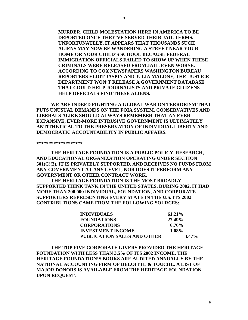**MURDER, CHILD MOLESTATION HERE IN AMERICA TO BE DEPORTED ONCE THEY'VE SERVED THEIR JAIL TERMS. UNFORTUNATELY, IT APPEARS THAT THOUSANDS SUCH ALIENS MAY NOW BE WANDERING A STREET NEAR YOUR HOME OR YOUR CHILD'S SCHOOL BECAUSE FEDERAL IMMIGRATION OFFICIALS FAILED TO SHOW UP WHEN THESE CRIMINALS WERE RELEASED FROM JAIL. EVEN WORSE, ACCORDING TO COX NEWSPAPERS WASHINGTON BUREAU REPORTERS ELIOT JASPIN AND JULIA MALONE, THE JUSTICE DEPARTMENT WON'T RELEASE A GOVERNMENT DATABASE THAT COULD HELP JOURNALISTS AND PRIVATE CITIZENS HELP OFFICIALS FIND THESE ALIENS.** 

**WE ARE INDEED FIGHTING A GLOBAL WAR ON TERRORISM THAT PUTS UNUSUAL DEMANDS ON THE FOIA SYSTEM. CONSERVATIVES AND LIBERALS ALIKE SHOULD ALWAYS REMEMBER THAT AN EVER EXPANSIVE, EVER-MORE INTRUSIVE GOVERNMENT IS ULTIMATELY ANTITHETICAL TO THE PRESERVATION OF INDIVIDUAL LIBERTY AND DEMOCRATIC ACCOUNTABILITY IN PUBLIC AFFAIRS.** 

**\*\*\*\*\*\*\*\*\*\*\*\*\*\*\*\*\*\*\*** 

**THE HERITAGE FOUNDATION IS A PUBLIC POLICY, RESEARCH, AND EDUCATIONAL ORGANIZATION OPERATING UNDER SECTION 501(C)(3). IT IS PRIVATELY SUPPORTED, AND RECEIVES NO FUNDS FROM ANY GOVERNMENT AT ANY LEVEL, NOR DOES IT PERFORM ANY GOVERNMENT OR OTHER CONTRACT WORK.** 

**THE HERITAGE FOUNDATION IS THE MOST BROADLY SUPPORTED THINK TANK IN THE UNITED STATES. DURING 2002, IT HAD MORE THAN 200,000 INDIVIDUAL, FOUNDATION, AND CORPORATE SUPPORTERS REPRESENTING EVERY STATE IN THE U.S. ITS 2002 CONTRIBUTIONS CAME FROM THE FOLLOWING SOURCES:** 

| INDIVIDUALS                 | $61.21\%$ |
|-----------------------------|-----------|
| <b>FOUNDATIONS</b>          | 27.49%    |
| <b>CORPORATIONS</b>         | $6.76\%$  |
| INVESTMENT INCOME           | 1.08%     |
| PUBLICATION SALES AND OTHER | $3.47\%$  |

**THE TOP FIVE CORPORATE GIVERS PROVIDED THE HERITAGE FOUNDATION WITH LESS THAN 3.5% OF ITS 2002 INCOME. THE HERITAGE FOUNDATION'S BOOKS ARE AUDITED ANNUALLY BY THE NATIONAL ACCOUNTING FIRM OF DELOITTE & TOUCHE. A LIST OF MAJOR DONORS IS AVAILABLE FROM THE HERITAGE FOUNDATION UPON REQUEST.**